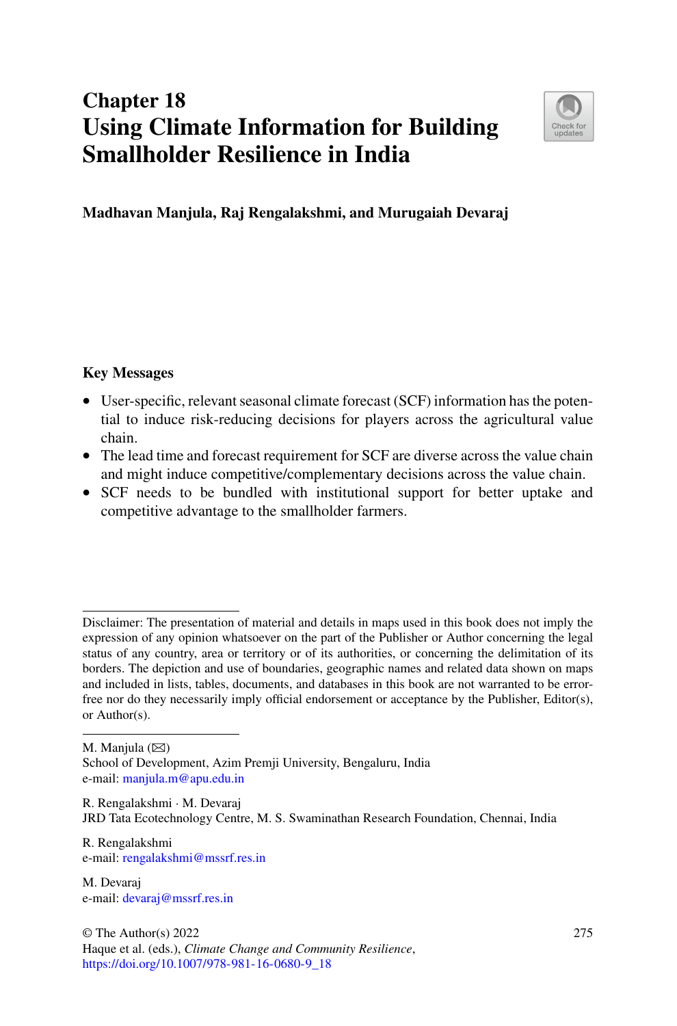# **Chapter 18 Using Climate Information for Building Smallholder Resilience in India**



**Madhavan Manjula, Raj Rengalakshmi, and Murugaiah Devaraj**

#### **Key Messages**

- User-specific, relevant seasonal climate forecast (SCF) information has the potential to induce risk-reducing decisions for players across the agricultural value chain.
- The lead time and forecast requirement for SCF are diverse across the value chain and might induce competitive/complementary decisions across the value chain.
- SCF needs to be bundled with institutional support for better uptake and competitive advantage to the smallholder farmers.

M. Manjula  $(\boxtimes)$ 

School of Development, Azim Premji University, Bengaluru, India e-mail: [manjula.m@apu.edu.in](mailto:manjula.m@apu.edu.in)

R. Rengalakshmi · M. Devaraj JRD Tata Ecotechnology Centre, M. S. Swaminathan Research Foundation, Chennai, India

R. Rengalakshmi e-mail: [rengalakshmi@mssrf.res.in](mailto:rengalakshmi@mssrf.res.in)

M. Devaraj e-mail: [devaraj@mssrf.res.in](mailto:devaraj@mssrf.res.in)

Disclaimer: The presentation of material and details in maps used in this book does not imply the expression of any opinion whatsoever on the part of the Publisher or Author concerning the legal status of any country, area or territory or of its authorities, or concerning the delimitation of its borders. The depiction and use of boundaries, geographic names and related data shown on maps and included in lists, tables, documents, and databases in this book are not warranted to be errorfree nor do they necessarily imply official endorsement or acceptance by the Publisher, Editor(s), or Author(s).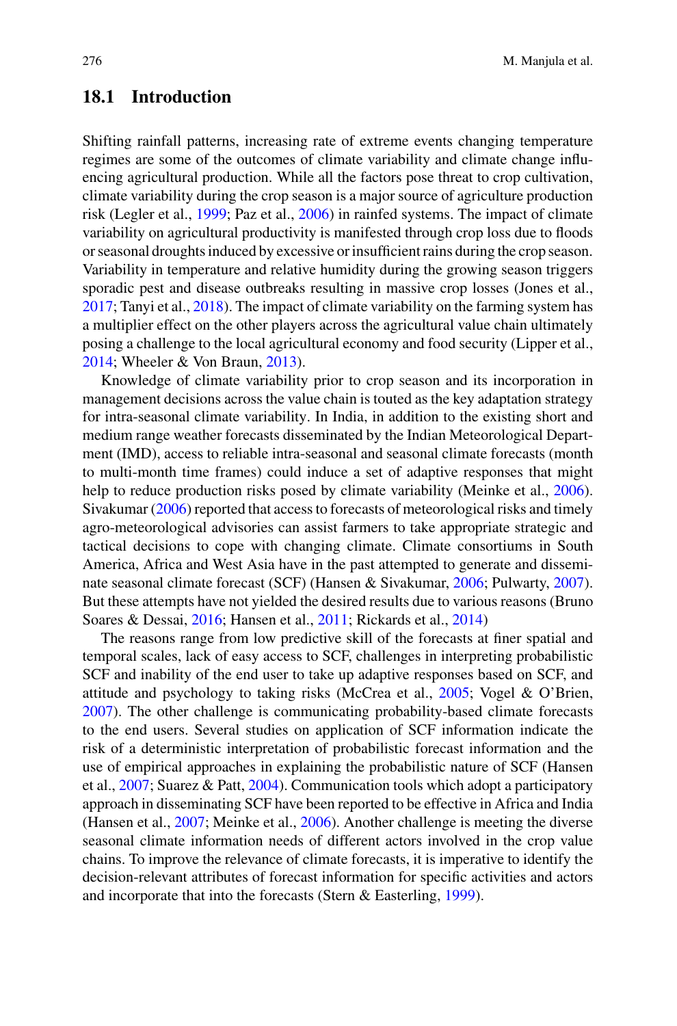#### **18.1 Introduction**

Shifting rainfall patterns, increasing rate of extreme events changing temperature regimes are some of the outcomes of climate variability and climate change influencing agricultural production. While all the factors pose threat to crop cultivation, climate variability during the crop season is a major source of agriculture production risk (Legler et al., [1999;](#page-13-0) Paz et al., [2006\)](#page-14-0) in rainfed systems. The impact of climate variability on agricultural productivity is manifested through crop loss due to floods or seasonal droughts induced by excessive or insufficient rains during the crop season. Variability in temperature and relative humidity during the growing season triggers sporadic pest and disease outbreaks resulting in massive crop losses (Jones et al., [2017;](#page-13-1) Tanyi et al., [2018\)](#page-14-1). The impact of climate variability on the farming system has a multiplier effect on the other players across the agricultural value chain ultimately posing a challenge to the local agricultural economy and food security (Lipper et al., [2014;](#page-13-2) Wheeler & Von Braun, [2013\)](#page-14-2).

Knowledge of climate variability prior to crop season and its incorporation in management decisions across the value chain is touted as the key adaptation strategy for intra-seasonal climate variability. In India, in addition to the existing short and medium range weather forecasts disseminated by the Indian Meteorological Department (IMD), access to reliable intra-seasonal and seasonal climate forecasts (month to multi-month time frames) could induce a set of adaptive responses that might help to reduce production risks posed by climate variability (Meinke et al., [2006\)](#page-14-3). Sivakumar [\(2006\)](#page-14-4) reported that access to forecasts of meteorological risks and timely agro-meteorological advisories can assist farmers to take appropriate strategic and tactical decisions to cope with changing climate. Climate consortiums in South America, Africa and West Asia have in the past attempted to generate and disseminate seasonal climate forecast (SCF) (Hansen & Sivakumar, [2006;](#page-13-3) Pulwarty, [2007\)](#page-14-5). But these attempts have not yielded the desired results due to various reasons (Bruno Soares & Dessai, [2016;](#page-13-4) Hansen et al., [2011;](#page-13-5) Rickards et al., [2014\)](#page-14-6)

The reasons range from low predictive skill of the forecasts at finer spatial and temporal scales, lack of easy access to SCF, challenges in interpreting probabilistic SCF and inability of the end user to take up adaptive responses based on SCF, and attitude and psychology to taking risks (McCrea et al., [2005;](#page-14-7) Vogel & O'Brien, [2007\)](#page-14-8). The other challenge is communicating probability-based climate forecasts to the end users. Several studies on application of SCF information indicate the risk of a deterministic interpretation of probabilistic forecast information and the use of empirical approaches in explaining the probabilistic nature of SCF (Hansen et al., [2007;](#page-13-6) Suarez & Patt, [2004\)](#page-14-9). Communication tools which adopt a participatory approach in disseminating SCF have been reported to be effective in Africa and India (Hansen et al., [2007;](#page-13-6) Meinke et al., [2006\)](#page-14-3). Another challenge is meeting the diverse seasonal climate information needs of different actors involved in the crop value chains. To improve the relevance of climate forecasts, it is imperative to identify the decision-relevant attributes of forecast information for specific activities and actors and incorporate that into the forecasts (Stern & Easterling, [1999\)](#page-14-10).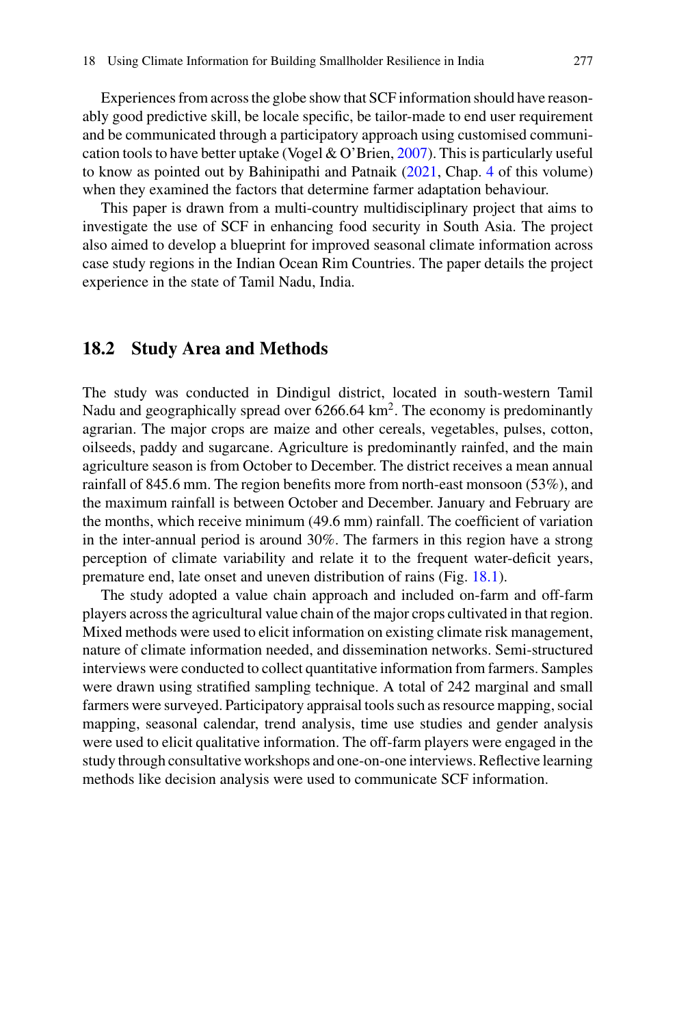Experiences from across the globe show that SCF information should have reasonably good predictive skill, be locale specific, be tailor-made to end user requirement and be communicated through a participatory approach using customised communication tools to have better uptake (Vogel  $& O'$ Brien, [2007\)](#page-14-8). This is particularly useful to know as pointed out by Bahinipathi and Patnaik [\(2021,](#page-13-7) Chap. 4 of this volume) when they examined the factors that determine farmer adaptation behaviour.

This paper is drawn from a multi-country multidisciplinary project that aims to investigate the use of SCF in enhancing food security in South Asia. The project also aimed to develop a blueprint for improved seasonal climate information across case study regions in the Indian Ocean Rim Countries. The paper details the project experience in the state of Tamil Nadu, India.

#### **18.2 Study Area and Methods**

The study was conducted in Dindigul district, located in south-western Tamil Nadu and geographically spread over  $6266.64 \text{ km}^2$ . The economy is predominantly agrarian. The major crops are maize and other cereals, vegetables, pulses, cotton, oilseeds, paddy and sugarcane. Agriculture is predominantly rainfed, and the main agriculture season is from October to December. The district receives a mean annual rainfall of 845.6 mm. The region benefits more from north-east monsoon (53%), and the maximum rainfall is between October and December. January and February are the months, which receive minimum (49.6 mm) rainfall. The coefficient of variation in the inter-annual period is around 30%. The farmers in this region have a strong perception of climate variability and relate it to the frequent water-deficit years, premature end, late onset and uneven distribution of rains (Fig. [18.1\)](#page-3-0).

The study adopted a value chain approach and included on-farm and off-farm players across the agricultural value chain of the major crops cultivated in that region. Mixed methods were used to elicit information on existing climate risk management, nature of climate information needed, and dissemination networks. Semi-structured interviews were conducted to collect quantitative information from farmers. Samples were drawn using stratified sampling technique. A total of 242 marginal and small farmers were surveyed. Participatory appraisal tools such as resource mapping, social mapping, seasonal calendar, trend analysis, time use studies and gender analysis were used to elicit qualitative information. The off-farm players were engaged in the study through consultative workshops and one-on-one interviews. Reflective learning methods like decision analysis were used to communicate SCF information.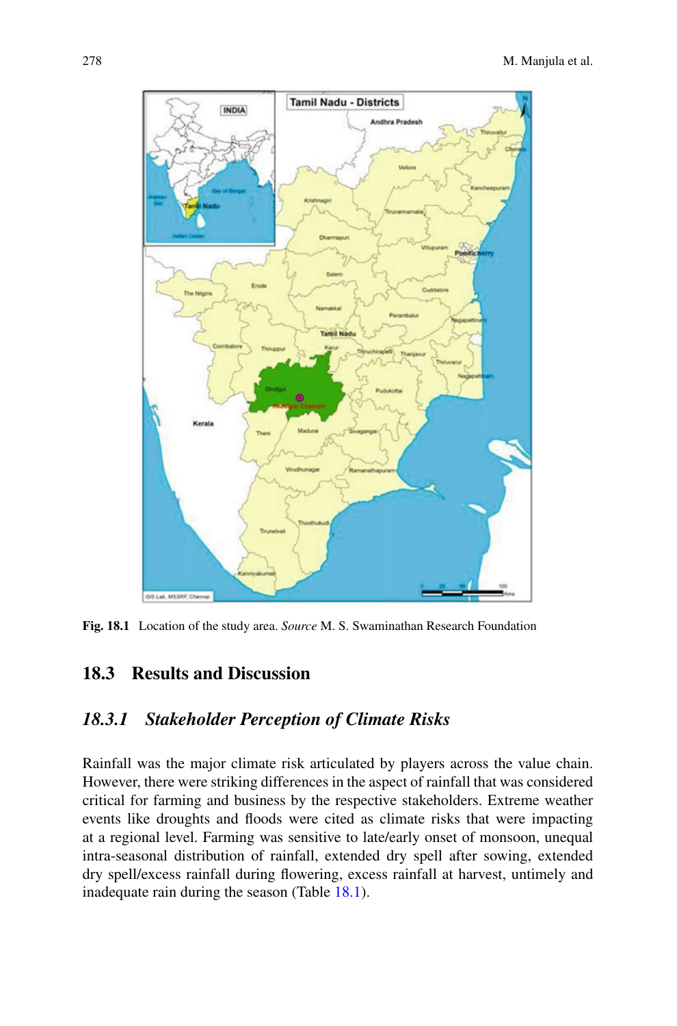

<span id="page-3-0"></span>**Fig. 18.1** Location of the study area. *Source* M. S. Swaminathan Research Foundation

#### **18.3 Results and Discussion**

### *18.3.1 Stakeholder Perception of Climate Risks*

Rainfall was the major climate risk articulated by players across the value chain. However, there were striking differences in the aspect of rainfall that was considered critical for farming and business by the respective stakeholders. Extreme weather events like droughts and floods were cited as climate risks that were impacting at a regional level. Farming was sensitive to late/early onset of monsoon, unequal intra-seasonal distribution of rainfall, extended dry spell after sowing, extended dry spell/excess rainfall during flowering, excess rainfall at harvest, untimely and inadequate rain during the season (Table [18.1\)](#page-4-0).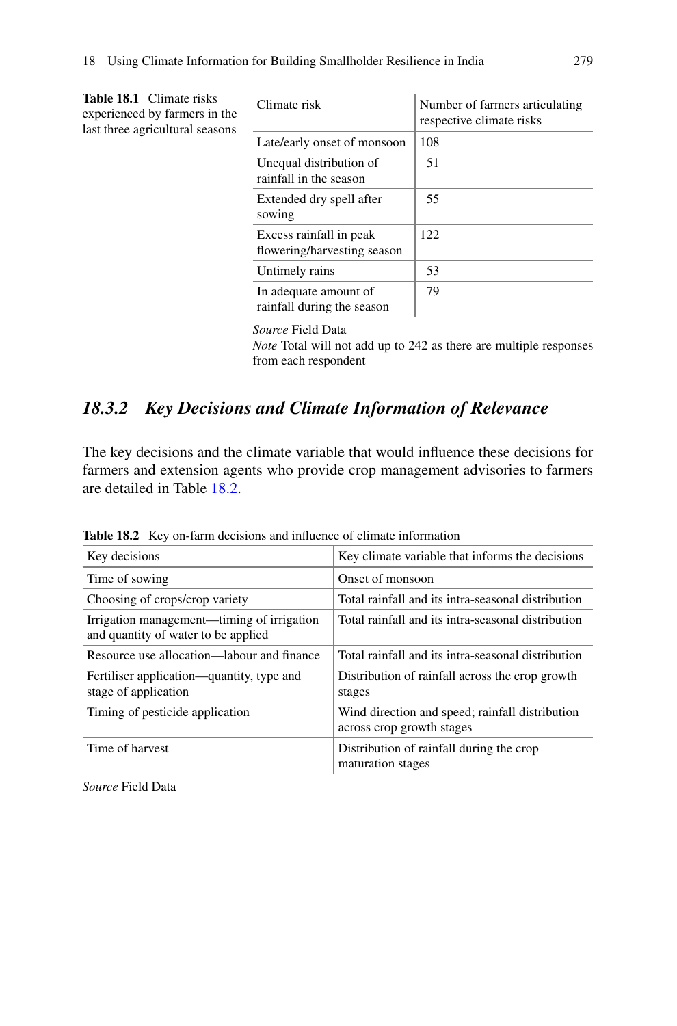<span id="page-4-0"></span>

| <b>Table 18.1</b> Climate risks<br>experienced by farmers in the<br>last three agricultural seasons | Climate risk                                           | Number of farmers articulating<br>respective climate risks |
|-----------------------------------------------------------------------------------------------------|--------------------------------------------------------|------------------------------------------------------------|
|                                                                                                     | Late/early onset of monsoon                            | 108                                                        |
|                                                                                                     | Unequal distribution of<br>rainfall in the season      | 51                                                         |
|                                                                                                     | Extended dry spell after<br>sowing                     | 55                                                         |
|                                                                                                     | Excess rainfall in peak<br>flowering/harvesting season | 122                                                        |
|                                                                                                     | Untimely rains                                         | 53                                                         |
|                                                                                                     | In adequate amount of<br>rainfall during the season    | 79                                                         |

*Source* Field Data

*Note* Total will not add up to 242 as there are multiple responses from each respondent

# *18.3.2 Key Decisions and Climate Information of Relevance*

The key decisions and the climate variable that would influence these decisions for farmers and extension agents who provide crop management advisories to farmers are detailed in Table [18.2.](#page-4-1)

| Key decisions                                                                     | Key climate variable that informs the decisions                              |
|-----------------------------------------------------------------------------------|------------------------------------------------------------------------------|
| Time of sowing                                                                    | Onset of monsoon                                                             |
| Choosing of crops/crop variety                                                    | Total rainfall and its intra-seasonal distribution                           |
| Irrigation management—timing of irrigation<br>and quantity of water to be applied | Total rainfall and its intra-seasonal distribution                           |
| Resource use allocation—labour and finance                                        | Total rainfall and its intra-seasonal distribution                           |
| Fertiliser application—quantity, type and<br>stage of application                 | Distribution of rainfall across the crop growth<br>stages                    |
| Timing of pesticide application                                                   | Wind direction and speed; rainfall distribution<br>across crop growth stages |
| Time of harvest                                                                   | Distribution of rainfall during the crop<br>maturation stages                |

<span id="page-4-1"></span>**Table 18.2** Key on-farm decisions and influence of climate information

*Source* Field Data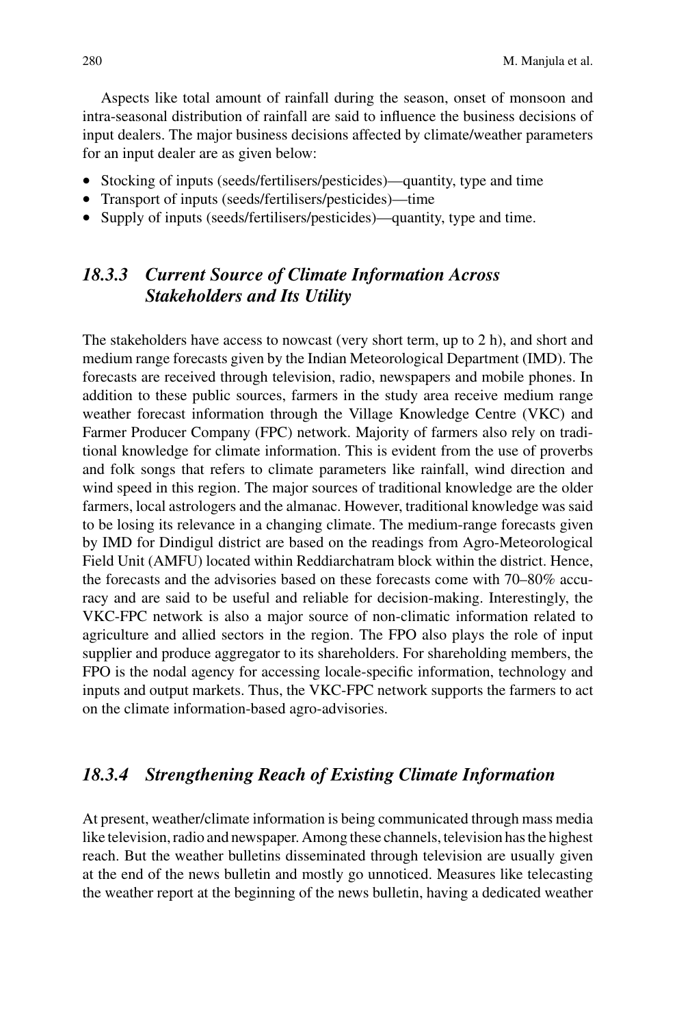Aspects like total amount of rainfall during the season, onset of monsoon and intra-seasonal distribution of rainfall are said to influence the business decisions of input dealers. The major business decisions affected by climate/weather parameters for an input dealer are as given below:

- Stocking of inputs (seeds/fertilisers/pesticides)—quantity, type and time
- Transport of inputs (seeds/fertilisers/pesticides)—time
- Supply of inputs (seeds/fertilisers/pesticides)—quantity, type and time.

# *18.3.3 Current Source of Climate Information Across Stakeholders and Its Utility*

The stakeholders have access to nowcast (very short term, up to 2 h), and short and medium range forecasts given by the Indian Meteorological Department (IMD). The forecasts are received through television, radio, newspapers and mobile phones. In addition to these public sources, farmers in the study area receive medium range weather forecast information through the Village Knowledge Centre (VKC) and Farmer Producer Company (FPC) network. Majority of farmers also rely on traditional knowledge for climate information. This is evident from the use of proverbs and folk songs that refers to climate parameters like rainfall, wind direction and wind speed in this region. The major sources of traditional knowledge are the older farmers, local astrologers and the almanac. However, traditional knowledge was said to be losing its relevance in a changing climate. The medium-range forecasts given by IMD for Dindigul district are based on the readings from Agro-Meteorological Field Unit (AMFU) located within Reddiarchatram block within the district. Hence, the forecasts and the advisories based on these forecasts come with 70–80% accuracy and are said to be useful and reliable for decision-making. Interestingly, the VKC-FPC network is also a major source of non-climatic information related to agriculture and allied sectors in the region. The FPO also plays the role of input supplier and produce aggregator to its shareholders. For shareholding members, the FPO is the nodal agency for accessing locale-specific information, technology and inputs and output markets. Thus, the VKC-FPC network supports the farmers to act on the climate information-based agro-advisories.

#### *18.3.4 Strengthening Reach of Existing Climate Information*

At present, weather/climate information is being communicated through mass media like television, radio and newspaper. Among these channels, television has the highest reach. But the weather bulletins disseminated through television are usually given at the end of the news bulletin and mostly go unnoticed. Measures like telecasting the weather report at the beginning of the news bulletin, having a dedicated weather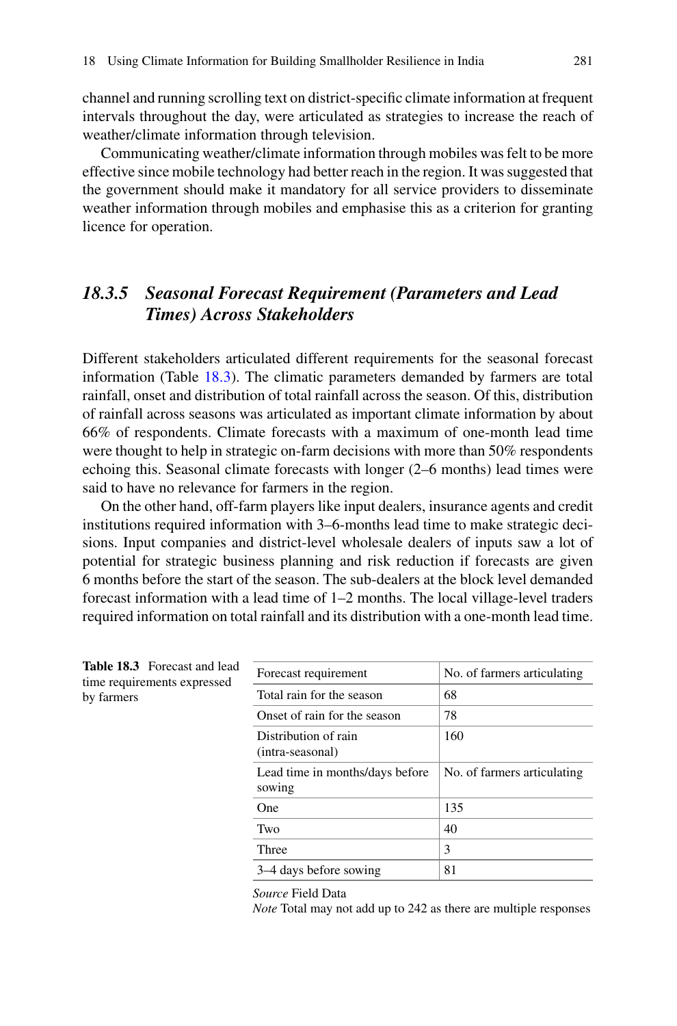channel and running scrolling text on district-specific climate information at frequent intervals throughout the day, were articulated as strategies to increase the reach of weather/climate information through television.

Communicating weather/climate information through mobiles was felt to be more effective since mobile technology had better reach in the region. It was suggested that the government should make it mandatory for all service providers to disseminate weather information through mobiles and emphasise this as a criterion for granting licence for operation.

### *18.3.5 Seasonal Forecast Requirement (Parameters and Lead Times) Across Stakeholders*

Different stakeholders articulated different requirements for the seasonal forecast information (Table [18.3\)](#page-6-0). The climatic parameters demanded by farmers are total rainfall, onset and distribution of total rainfall across the season. Of this, distribution of rainfall across seasons was articulated as important climate information by about 66% of respondents. Climate forecasts with a maximum of one-month lead time were thought to help in strategic on-farm decisions with more than 50% respondents echoing this. Seasonal climate forecasts with longer (2–6 months) lead times were said to have no relevance for farmers in the region.

On the other hand, off-farm players like input dealers, insurance agents and credit institutions required information with 3–6-months lead time to make strategic decisions. Input companies and district-level wholesale dealers of inputs saw a lot of potential for strategic business planning and risk reduction if forecasts are given 6 months before the start of the season. The sub-dealers at the block level demanded forecast information with a lead time of 1–2 months. The local village-level traders required information on total rainfall and its distribution with a one-month lead time.

| Forecast requirement                      | No. of farmers articulating |
|-------------------------------------------|-----------------------------|
| Total rain for the season                 | 68                          |
| Onset of rain for the season              | 78                          |
| Distribution of rain<br>(intra-seasonal)  | 160                         |
| Lead time in months/days before<br>sowing | No. of farmers articulating |
| One.                                      | 135                         |
| Two                                       | 40                          |
| Three                                     | 3                           |
| 3–4 days before sowing                    | 81                          |

<span id="page-6-0"></span>**Table 18.3** Forecast and lead time requirements expressed by farmers

*Source* Field Data

*Note* Total may not add up to 242 as there are multiple responses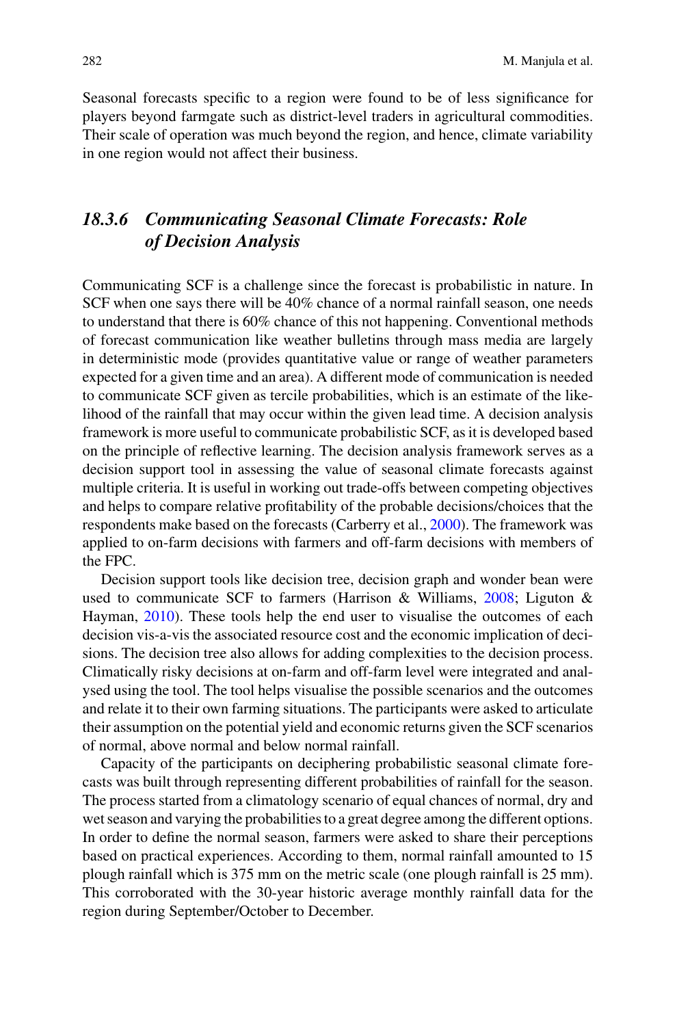Seasonal forecasts specific to a region were found to be of less significance for players beyond farmgate such as district-level traders in agricultural commodities. Their scale of operation was much beyond the region, and hence, climate variability in one region would not affect their business.

# *18.3.6 Communicating Seasonal Climate Forecasts: Role of Decision Analysis*

Communicating SCF is a challenge since the forecast is probabilistic in nature. In SCF when one says there will be 40% chance of a normal rainfall season, one needs to understand that there is 60% chance of this not happening. Conventional methods of forecast communication like weather bulletins through mass media are largely in deterministic mode (provides quantitative value or range of weather parameters expected for a given time and an area). A different mode of communication is needed to communicate SCF given as tercile probabilities, which is an estimate of the likelihood of the rainfall that may occur within the given lead time. A decision analysis framework is more useful to communicate probabilistic SCF, as it is developed based on the principle of reflective learning. The decision analysis framework serves as a decision support tool in assessing the value of seasonal climate forecasts against multiple criteria. It is useful in working out trade-offs between competing objectives and helps to compare relative profitability of the probable decisions/choices that the respondents make based on the forecasts (Carberry et al., [2000\)](#page-13-8). The framework was applied to on-farm decisions with farmers and off-farm decisions with members of the FPC.

Decision support tools like decision tree, decision graph and wonder bean were used to communicate SCF to farmers (Harrison & Williams, [2008;](#page-13-9) Liguton & Hayman, [2010\)](#page-13-10). These tools help the end user to visualise the outcomes of each decision vis-a-vis the associated resource cost and the economic implication of decisions. The decision tree also allows for adding complexities to the decision process. Climatically risky decisions at on-farm and off-farm level were integrated and analysed using the tool. The tool helps visualise the possible scenarios and the outcomes and relate it to their own farming situations. The participants were asked to articulate their assumption on the potential yield and economic returns given the SCF scenarios of normal, above normal and below normal rainfall.

Capacity of the participants on deciphering probabilistic seasonal climate forecasts was built through representing different probabilities of rainfall for the season. The process started from a climatology scenario of equal chances of normal, dry and wet season and varying the probabilities to a great degree among the different options. In order to define the normal season, farmers were asked to share their perceptions based on practical experiences. According to them, normal rainfall amounted to 15 plough rainfall which is 375 mm on the metric scale (one plough rainfall is 25 mm). This corroborated with the 30-year historic average monthly rainfall data for the region during September/October to December.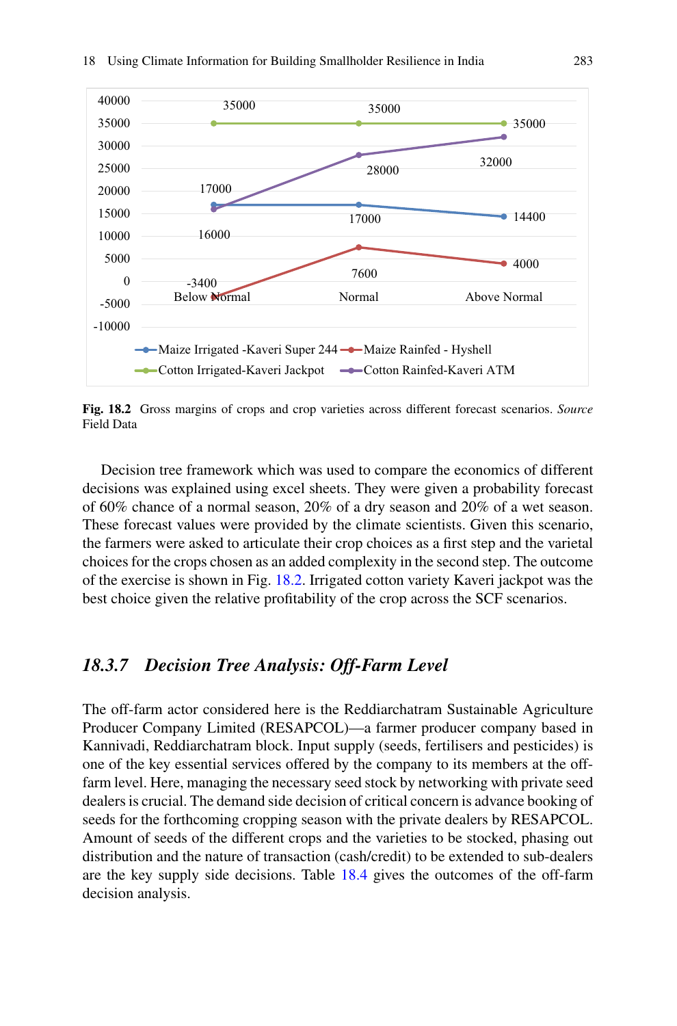

<span id="page-8-0"></span>**Fig. 18.2** Gross margins of crops and crop varieties across different forecast scenarios. *Source* Field Data

Decision tree framework which was used to compare the economics of different decisions was explained using excel sheets. They were given a probability forecast of 60% chance of a normal season, 20% of a dry season and 20% of a wet season. These forecast values were provided by the climate scientists. Given this scenario, the farmers were asked to articulate their crop choices as a first step and the varietal choices for the crops chosen as an added complexity in the second step. The outcome of the exercise is shown in Fig. [18.2.](#page-8-0) Irrigated cotton variety Kaveri jackpot was the best choice given the relative profitability of the crop across the SCF scenarios.

#### *18.3.7 Decision Tree Analysis: Off-Farm Level*

The off-farm actor considered here is the Reddiarchatram Sustainable Agriculture Producer Company Limited (RESAPCOL)—a farmer producer company based in Kannivadi, Reddiarchatram block. Input supply (seeds, fertilisers and pesticides) is one of the key essential services offered by the company to its members at the offfarm level. Here, managing the necessary seed stock by networking with private seed dealers is crucial. The demand side decision of critical concern is advance booking of seeds for the forthcoming cropping season with the private dealers by RESAPCOL. Amount of seeds of the different crops and the varieties to be stocked, phasing out distribution and the nature of transaction (cash/credit) to be extended to sub-dealers are the key supply side decisions. Table [18.4](#page-9-0) gives the outcomes of the off-farm decision analysis.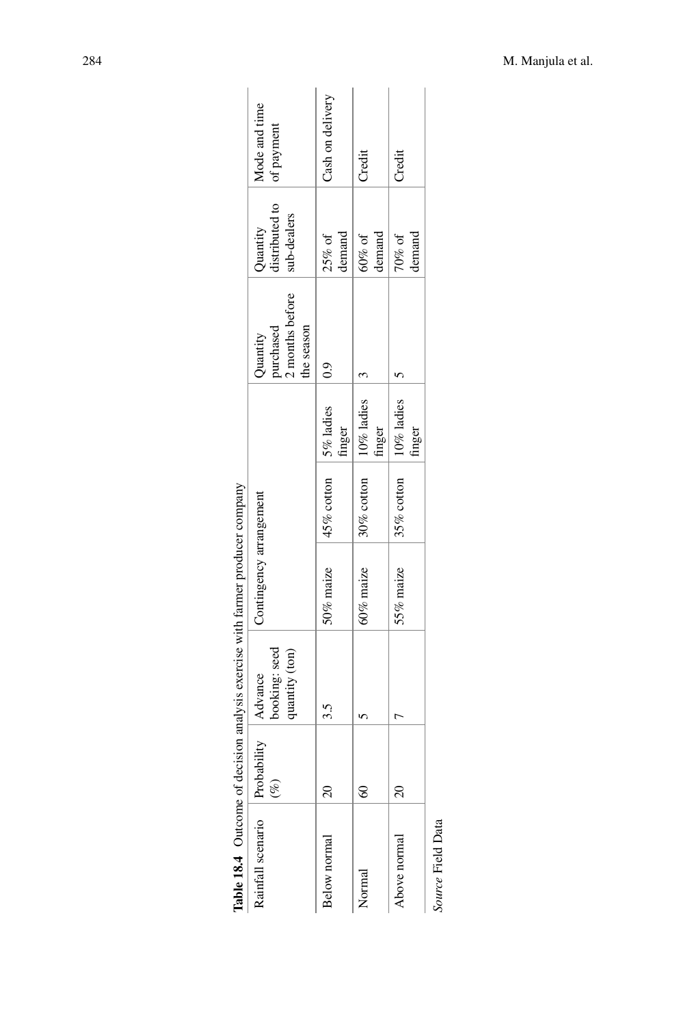| Table 18.4 Outcome of decision analysis exercise with farmer producer company |                |                                                                                                               |                         |               |                         |                                                        |                                           |                                      |
|-------------------------------------------------------------------------------|----------------|---------------------------------------------------------------------------------------------------------------|-------------------------|---------------|-------------------------|--------------------------------------------------------|-------------------------------------------|--------------------------------------|
| Rainfall scenario Probability                                                 | $(\%)$         | $\label{eq:advariance} \begin{array}{ l} \hbox{Advance} \\ \hbox{boking: seed} \end{array}$<br>quantity (ton) | Contingency arrangement |               |                         | 2 months before<br>Quantity<br>purchased<br>the season | Quantity<br>distributed to<br>sub-dealers | Mode and time<br>$\alpha$ of payment |
| Below normal                                                                  | $\overline{c}$ | 3.5                                                                                                           | 50% maize               | $45\%$ cotton | 5% ladies<br>finger     | $\ddot{0}$                                             | demand<br>$25\%$ of                       | Cash on delivery                     |
| Normal                                                                        | $\Im$          |                                                                                                               | $60\%$ maize            | $30\%$ cotton | $10\%$ ladies<br>finger |                                                        | demand<br>$60\%$ of                       | Credit                               |
| Above normal                                                                  | $\overline{c}$ |                                                                                                               | 55% maize               | $35\%$ cotton | $10\%$ ladies<br>finger |                                                        | demand<br>$70\%$ of                       | Credit                               |
| Source Field Data                                                             |                |                                                                                                               |                         |               |                         |                                                        |                                           |                                      |

<span id="page-9-0"></span>

| $\ddot{\phantom{0}}$                                       |
|------------------------------------------------------------|
| hifcome of decision analysis exercise with tarmer producer |
|                                                            |
| $\frac{1}{2}$                                              |
| į                                                          |
|                                                            |
|                                                            |
| )<br>)<br>)                                                |
|                                                            |
| ļ<br>$\overline{\mathbf{C}}$                               |
| $\ddot{\phantom{a}}$<br>18 <sup>2</sup>                    |
| $\tilde{\mathbf{e}}$                                       |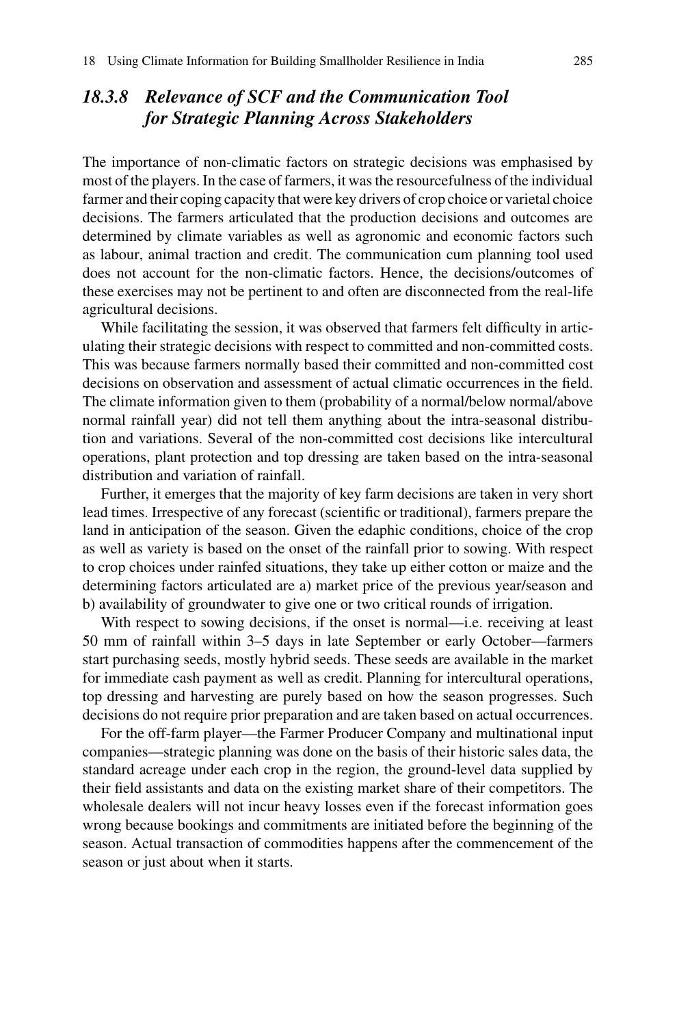# *18.3.8 Relevance of SCF and the Communication Tool for Strategic Planning Across Stakeholders*

The importance of non-climatic factors on strategic decisions was emphasised by most of the players. In the case of farmers, it was the resourcefulness of the individual farmer and their coping capacity that were key drivers of crop choice or varietal choice decisions. The farmers articulated that the production decisions and outcomes are determined by climate variables as well as agronomic and economic factors such as labour, animal traction and credit. The communication cum planning tool used does not account for the non-climatic factors. Hence, the decisions/outcomes of these exercises may not be pertinent to and often are disconnected from the real-life agricultural decisions.

While facilitating the session, it was observed that farmers felt difficulty in articulating their strategic decisions with respect to committed and non-committed costs. This was because farmers normally based their committed and non-committed cost decisions on observation and assessment of actual climatic occurrences in the field. The climate information given to them (probability of a normal/below normal/above normal rainfall year) did not tell them anything about the intra-seasonal distribution and variations. Several of the non-committed cost decisions like intercultural operations, plant protection and top dressing are taken based on the intra-seasonal distribution and variation of rainfall.

Further, it emerges that the majority of key farm decisions are taken in very short lead times. Irrespective of any forecast (scientific or traditional), farmers prepare the land in anticipation of the season. Given the edaphic conditions, choice of the crop as well as variety is based on the onset of the rainfall prior to sowing. With respect to crop choices under rainfed situations, they take up either cotton or maize and the determining factors articulated are a) market price of the previous year/season and b) availability of groundwater to give one or two critical rounds of irrigation.

With respect to sowing decisions, if the onset is normal—i.e. receiving at least 50 mm of rainfall within 3–5 days in late September or early October—farmers start purchasing seeds, mostly hybrid seeds. These seeds are available in the market for immediate cash payment as well as credit. Planning for intercultural operations, top dressing and harvesting are purely based on how the season progresses. Such decisions do not require prior preparation and are taken based on actual occurrences.

For the off-farm player—the Farmer Producer Company and multinational input companies—strategic planning was done on the basis of their historic sales data, the standard acreage under each crop in the region, the ground-level data supplied by their field assistants and data on the existing market share of their competitors. The wholesale dealers will not incur heavy losses even if the forecast information goes wrong because bookings and commitments are initiated before the beginning of the season. Actual transaction of commodities happens after the commencement of the season or just about when it starts.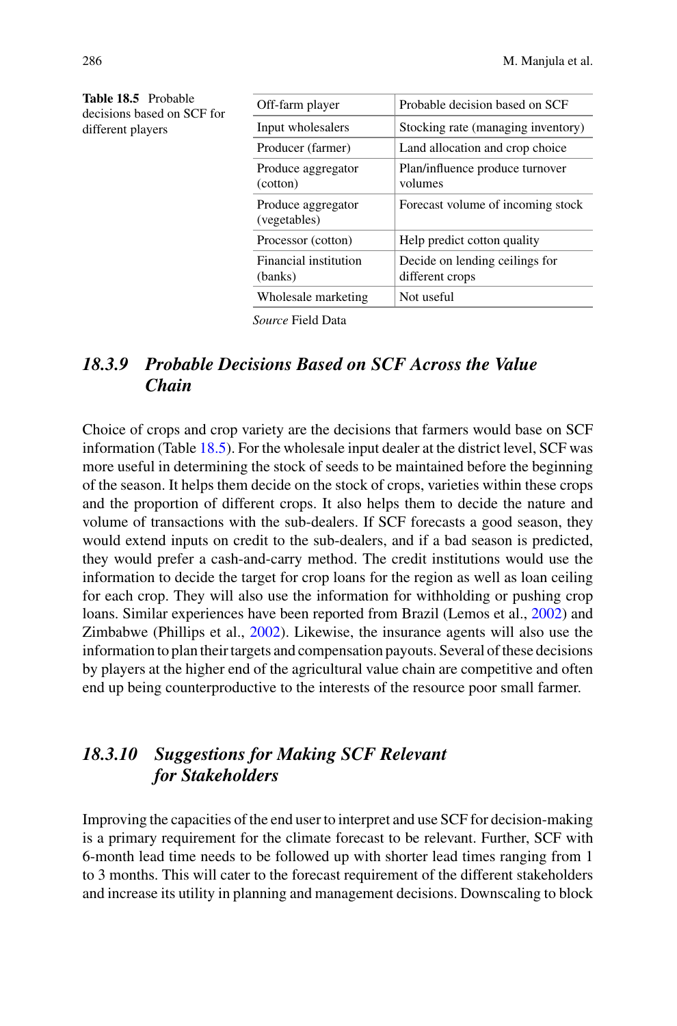<span id="page-11-0"></span>

| <b>Table 18.5</b> Probable<br>decisions based on SCF for<br>different players | Off-farm player                    | Probable decision based on SCF                    |
|-------------------------------------------------------------------------------|------------------------------------|---------------------------------------------------|
|                                                                               | Input wholesalers                  | Stocking rate (managing inventory)                |
|                                                                               | Producer (farmer)                  | Land allocation and crop choice                   |
|                                                                               | Produce aggregator<br>(cotton)     | Plan/influence produce turnover<br>volumes        |
|                                                                               | Produce aggregator<br>(vegetables) | Forecast volume of incoming stock                 |
|                                                                               | Processor (cotton)                 | Help predict cotton quality                       |
|                                                                               | Financial institution<br>(banks)   | Decide on lending ceilings for<br>different crops |
|                                                                               | Wholesale marketing                | Not useful                                        |
|                                                                               |                                    |                                                   |

*Source* Field Data

# *18.3.9 Probable Decisions Based on SCF Across the Value Chain*

Choice of crops and crop variety are the decisions that farmers would base on SCF information (Table [18.5\)](#page-11-0). For the wholesale input dealer at the district level, SCF was more useful in determining the stock of seeds to be maintained before the beginning of the season. It helps them decide on the stock of crops, varieties within these crops and the proportion of different crops. It also helps them to decide the nature and volume of transactions with the sub-dealers. If SCF forecasts a good season, they would extend inputs on credit to the sub-dealers, and if a bad season is predicted, they would prefer a cash-and-carry method. The credit institutions would use the information to decide the target for crop loans for the region as well as loan ceiling for each crop. They will also use the information for withholding or pushing crop loans. Similar experiences have been reported from Brazil (Lemos et al., [2002\)](#page-13-11) and Zimbabwe (Phillips et al., [2002\)](#page-14-11). Likewise, the insurance agents will also use the information to plan their targets and compensation payouts. Several of these decisions by players at the higher end of the agricultural value chain are competitive and often end up being counterproductive to the interests of the resource poor small farmer.

# *18.3.10 Suggestions for Making SCF Relevant for Stakeholders*

Improving the capacities of the end user to interpret and use SCF for decision-making is a primary requirement for the climate forecast to be relevant. Further, SCF with 6-month lead time needs to be followed up with shorter lead times ranging from 1 to 3 months. This will cater to the forecast requirement of the different stakeholders and increase its utility in planning and management decisions. Downscaling to block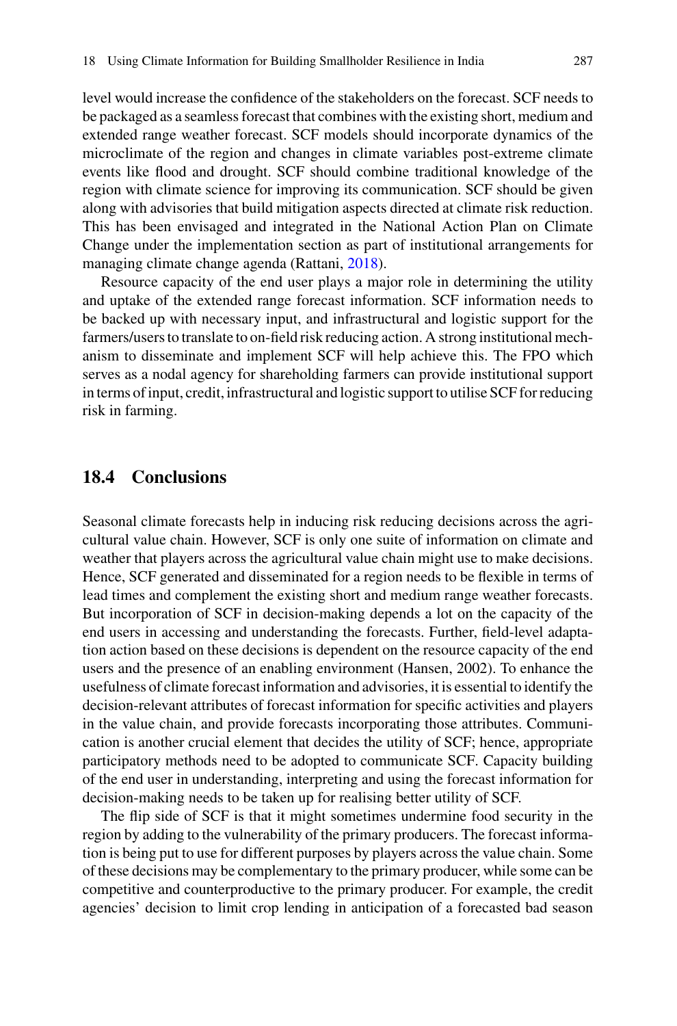level would increase the confidence of the stakeholders on the forecast. SCF needs to be packaged as a seamless forecast that combines with the existing short, medium and extended range weather forecast. SCF models should incorporate dynamics of the microclimate of the region and changes in climate variables post-extreme climate events like flood and drought. SCF should combine traditional knowledge of the region with climate science for improving its communication. SCF should be given along with advisories that build mitigation aspects directed at climate risk reduction. This has been envisaged and integrated in the National Action Plan on Climate Change under the implementation section as part of institutional arrangements for managing climate change agenda (Rattani, [2018\)](#page-14-12).

Resource capacity of the end user plays a major role in determining the utility and uptake of the extended range forecast information. SCF information needs to be backed up with necessary input, and infrastructural and logistic support for the farmers/users to translate to on-field risk reducing action. A strong institutional mechanism to disseminate and implement SCF will help achieve this. The FPO which serves as a nodal agency for shareholding farmers can provide institutional support in terms of input, credit, infrastructural and logistic support to utilise SCF for reducing risk in farming.

#### **18.4 Conclusions**

Seasonal climate forecasts help in inducing risk reducing decisions across the agricultural value chain. However, SCF is only one suite of information on climate and weather that players across the agricultural value chain might use to make decisions. Hence, SCF generated and disseminated for a region needs to be flexible in terms of lead times and complement the existing short and medium range weather forecasts. But incorporation of SCF in decision-making depends a lot on the capacity of the end users in accessing and understanding the forecasts. Further, field-level adaptation action based on these decisions is dependent on the resource capacity of the end users and the presence of an enabling environment (Hansen, 2002). To enhance the usefulness of climate forecast information and advisories, it is essential to identify the decision-relevant attributes of forecast information for specific activities and players in the value chain, and provide forecasts incorporating those attributes. Communication is another crucial element that decides the utility of SCF; hence, appropriate participatory methods need to be adopted to communicate SCF. Capacity building of the end user in understanding, interpreting and using the forecast information for decision-making needs to be taken up for realising better utility of SCF.

The flip side of SCF is that it might sometimes undermine food security in the region by adding to the vulnerability of the primary producers. The forecast information is being put to use for different purposes by players across the value chain. Some of these decisions may be complementary to the primary producer, while some can be competitive and counterproductive to the primary producer. For example, the credit agencies' decision to limit crop lending in anticipation of a forecasted bad season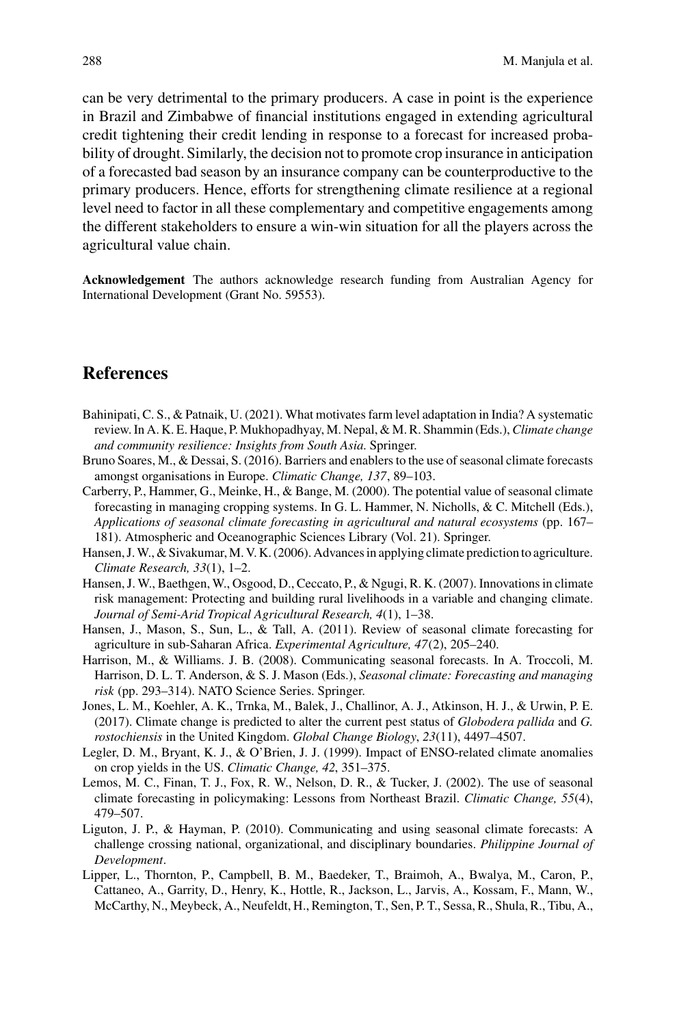can be very detrimental to the primary producers. A case in point is the experience in Brazil and Zimbabwe of financial institutions engaged in extending agricultural credit tightening their credit lending in response to a forecast for increased probability of drought. Similarly, the decision not to promote crop insurance in anticipation of a forecasted bad season by an insurance company can be counterproductive to the primary producers. Hence, efforts for strengthening climate resilience at a regional level need to factor in all these complementary and competitive engagements among the different stakeholders to ensure a win-win situation for all the players across the agricultural value chain.

**Acknowledgement** The authors acknowledge research funding from Australian Agency for International Development (Grant No. 59553).

#### **References**

- <span id="page-13-7"></span>Bahinipati, C. S., & Patnaik, U. (2021). What motivates farm level adaptation in India? A systematic review. In A. K. E. Haque, P. Mukhopadhyay, M. Nepal, & M. R. Shammin (Eds.),*Climate change and community resilience: Insights from South Asia*. Springer.
- <span id="page-13-4"></span>Bruno Soares, M., & Dessai, S. (2016). Barriers and enablers to the use of seasonal climate forecasts amongst organisations in Europe. *Climatic Change, 137*, 89–103.
- <span id="page-13-8"></span>Carberry, P., Hammer, G., Meinke, H., & Bange, M. (2000). The potential value of seasonal climate forecasting in managing cropping systems. In G. L. Hammer, N. Nicholls, & C. Mitchell (Eds.), *Applications of seasonal climate forecasting in agricultural and natural ecosystems* (pp. 167– 181). Atmospheric and Oceanographic Sciences Library (Vol. 21). Springer.
- <span id="page-13-3"></span>Hansen, J.W., & Sivakumar, M. V. K. (2006). Advances in applying climate prediction to agriculture. *Climate Research, 33*(1), 1–2.
- <span id="page-13-6"></span>Hansen, J. W., Baethgen, W., Osgood, D., Ceccato, P., & Ngugi, R. K. (2007). Innovations in climate risk management: Protecting and building rural livelihoods in a variable and changing climate. *Journal of Semi-Arid Tropical Agricultural Research, 4*(1), 1–38.
- <span id="page-13-5"></span>Hansen, J., Mason, S., Sun, L., & Tall, A. (2011). Review of seasonal climate forecasting for agriculture in sub-Saharan Africa. *Experimental Agriculture, 47*(2), 205–240.
- <span id="page-13-9"></span>Harrison, M., & Williams. J. B. (2008). Communicating seasonal forecasts. In A. Troccoli, M. Harrison, D. L. T. Anderson, & S. J. Mason (Eds.), *Seasonal climate: Forecasting and managing risk* (pp. 293–314). NATO Science Series. Springer.
- <span id="page-13-1"></span>Jones, L. M., Koehler, A. K., Trnka, M., Balek, J., Challinor, A. J., Atkinson, H. J., & Urwin, P. E. (2017). Climate change is predicted to alter the current pest status of *Globodera pallida* and *G. rostochiensis* in the United Kingdom. *Global Change Biology*, *23*(11), 4497–4507.
- <span id="page-13-0"></span>Legler, D. M., Bryant, K. J., & O'Brien, J. J. (1999). Impact of ENSO-related climate anomalies on crop yields in the US. *Climatic Change, 42*, 351–375.
- <span id="page-13-11"></span>Lemos, M. C., Finan, T. J., Fox, R. W., Nelson, D. R., & Tucker, J. (2002). The use of seasonal climate forecasting in policymaking: Lessons from Northeast Brazil. *Climatic Change, 55*(4), 479–507.
- <span id="page-13-10"></span>Liguton, J. P., & Hayman, P. (2010). Communicating and using seasonal climate forecasts: A challenge crossing national, organizational, and disciplinary boundaries. *Philippine Journal of Development*.
- <span id="page-13-2"></span>Lipper, L., Thornton, P., Campbell, B. M., Baedeker, T., Braimoh, A., Bwalya, M., Caron, P., Cattaneo, A., Garrity, D., Henry, K., Hottle, R., Jackson, L., Jarvis, A., Kossam, F., Mann, W., McCarthy, N., Meybeck, A., Neufeldt, H., Remington, T., Sen, P. T., Sessa, R., Shula, R., Tibu, A.,